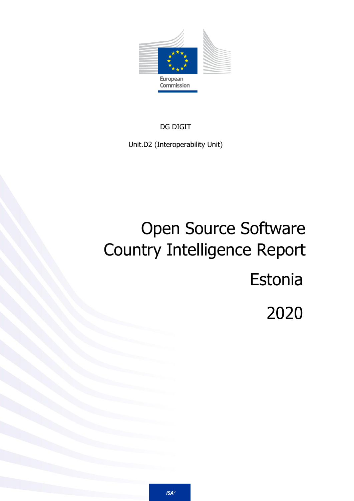

DG DIGIT

Unit.D2 (Interoperability Unit)

# Open Source Software Country Intelligence Report Estonia 2020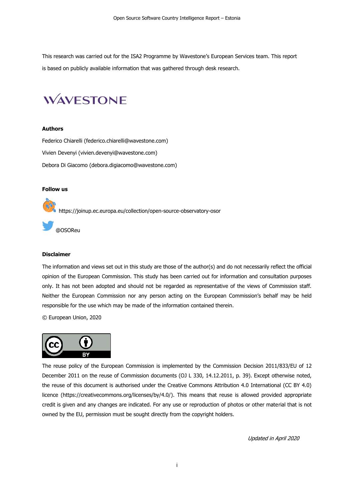This research was carried out for the [ISA2 Programme](https://ec.europa.eu/isa2/home_en) by Wavestone's European Services team. This report is based on publicly available information that was gathered through desk research.

# **WAVESTONE**

#### **Authors**

Federico Chiarelli [\(federico.chiarelli@wavestone.com\)](mailto:federico.chiarelli@wavestone.com) Vivien Devenyi [\(vivien.devenyi@wavestone.com\)](mailto:vivien.devenyi@wavestone.com) Debora Di Giacomo [\(debora.digiacomo@wavestone.com\)](mailto:debora.digiacomo@wavestone.com)

#### **Follow us**

<https://joinup.ec.europa.eu/collection/open-source-observatory-osor>

[@OSOReu](https://twitter.com/OSOReu)

#### **Disclaimer**

The information and views set out in this study are those of the author(s) and do not necessarily reflect the official opinion of the European Commission. This study has been carried out for information and consultation purposes only. It has not been adopted and should not be regarded as representative of the views of Commission staff. Neither the European Commission nor any person acting on the European Commission's behalf may be held responsible for the use which may be made of the information contained therein.

© European Union, 2020



The reuse policy of the European Commission is implemented by the Commission Decision 2011/833/EU of 12 December 2011 on the reuse of Commission documents (OJ L 330, 14.12.2011, p. 39). Except otherwise noted, the reuse of this document is authorised under the Creative Commons Attribution 4.0 International (CC BY 4.0) licence [\(https://creativecommons.org/licenses/by/4.0/\)](https://creativecommons.org/licenses/by/4.0/). This means that reuse is allowed provided appropriate credit is given and any changes are indicated. For any use or reproduction of photos or other material that is not owned by the EU, permission must be sought directly from the copyright holders.

Updated in April 2020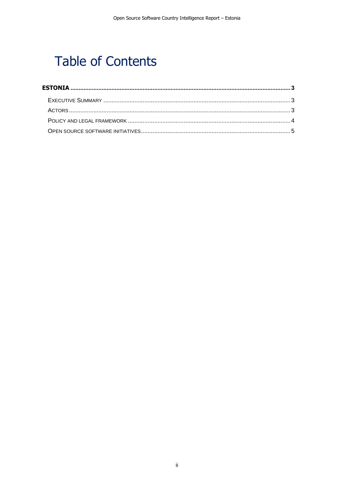# **Table of Contents**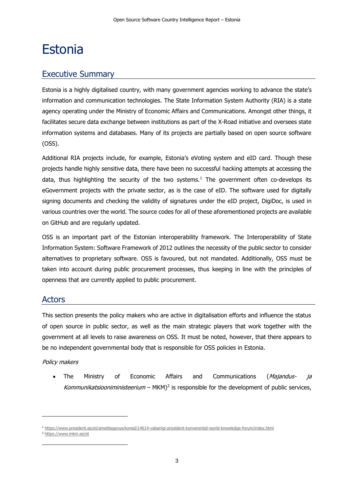# <span id="page-3-0"></span>Estonia

# <span id="page-3-1"></span>Executive Summary

Estonia is a highly digitalised country, with many government agencies working to advance the state's information and communication technologies. The State Information System Authority (RIA) is a state agency operating under the Ministry of Economic Affairs and Communications. Amongst other things, it facilitates secure data exchange between institutions as part of the X-Road initiative and oversees state information systems and databases. Many of its projects are partially based on open source software (OSS).

Additional RIA projects include, for example, Estonia's eVoting system and eID card. Though these projects handle highly sensitive data, there have been no successful hacking attempts at accessing the data, thus highlighting the security of the two systems.<sup>1</sup> The government often co-develops its eGovernment projects with the private sector, as is the case of eID. The software used for digitally signing documents and checking the validity of signatures under the eID project, DigiDoc, is used in various countries over the world. The source codes for all of these aforementioned projects are available on GitHub and are regularly updated.

OSS is an important part of the Estonian interoperability framework. The Interoperability of State Information System: Software Framework of 2012 outlines the necessity of the public sector to consider alternatives to proprietary software. OSS is favoured, but not mandated. Additionally, OSS must be taken into account during public procurement processes, thus keeping in line with the principles of openness that are currently applied to public procurement.

## <span id="page-3-2"></span>Actors

This section presents the policy makers who are active in digitalisation efforts and influence the status of open source in public sector, as well as the main strategic players that work together with the government at all levels to raise awareness on OSS. It must be noted, however, that there appears to be no independent governmental body that is responsible for OSS policies in Estonia.

### Policy makers

• The Ministry of Economic Affairs and Communications (Majandus- ja Kommunikatsiooniministeerium –  $MKM)^2$  is responsible for the development of public services,

<sup>1</sup> <https://www.president.ee/et/ametitegevus/koned/14614-vabariigi-president-konverentsil-world-knowledge-forum/index.html>

<sup>2</sup> <https://www.mkm.ee/et>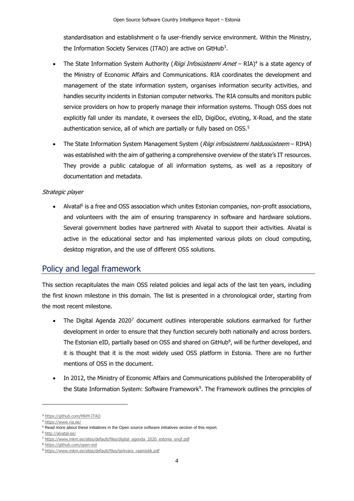standardisation and establishment o fa user-friendly service environment. Within the Ministry, the Information Society Services (ITAO) are active on GitHub<sup>3</sup>.

- The State Information System Authority (*Riigi Infosüsteemi Amet* RIA)<sup>4</sup> is a state agency of the Ministry of Economic Affairs and Communications. RIA coordinates the development and management of the state information system, organises information security activities, and handles security incidents in Estonian computer networks. The RIA consults and monitors public service providers on how to properly manage their information systems. Though OSS does not explicitly fall under its mandate, it oversees the eID, DigiDoc, eVoting, X-Road, and the state authentication service, all of which are partially or fully based on OSS. 5
- The State Information System Management System (Riigi infosüsteemi haldussüsteem RIHA) was established with the aim of gathering a comprehensive overview of the state's IT resources. They provide a public catalogue of all information systems, as well as a repository of documentation and metadata.

#### Strategic player

• Alvatal<sup>6</sup> is a free and OSS association which unites Estonian companies, non-profit associations, and volunteers with the aim of ensuring transparency in software and hardware solutions. Several government bodies have partnered with Alvatal to support their activities. Alvatal is active in the educational sector and has implemented various pilots on cloud computing, desktop migration, and the use of different OSS solutions.

## <span id="page-4-0"></span>Policy and legal framework

This section recapitulates the main OSS related policies and legal acts of the last ten years, including the first known milestone in this domain. The list is presented in a chronological order, starting from the most recent milestone.

- The Digital Agenda 2020<sup>7</sup> document outlines interoperable solutions earmarked for further development in order to ensure that they function securely both nationally and across borders. The Estonian eID, partially based on OSS and shared on GitHub<sup>8</sup>, will be further developed, and it is thought that it is the most widely used OSS platform in Estonia. There are no further mentions of OSS in the document.
- In 2012, the Ministry of Economic Affairs and Communications published the Interoperability of the State Information System: Software Framework<sup>9</sup>. The Framework outlines the principles of

<sup>3</sup> <https://github.com/MKM-ITAO>

<sup>4</sup> <https://www.ria.ee/>

<sup>5</sup> Read more about these initiatives in the Open source software initiatives section of this report.

<sup>6</sup> <http://alvatal.ee/>

<sup>7</sup> [https://www.mkm.ee/sites/default/files/digital\\_agenda\\_2020\\_estonia\\_engf.pdf](https://www.mkm.ee/sites/default/files/digital_agenda_2020_estonia_engf.pdf)

<sup>8</sup> <https://github.com/open-eid>

<sup>&</sup>lt;sup>9</sup> [https://www.mkm.ee/sites/default/files/tarkvara\\_raamistik.pdf](https://www.mkm.ee/sites/default/files/tarkvara_raamistik.pdf)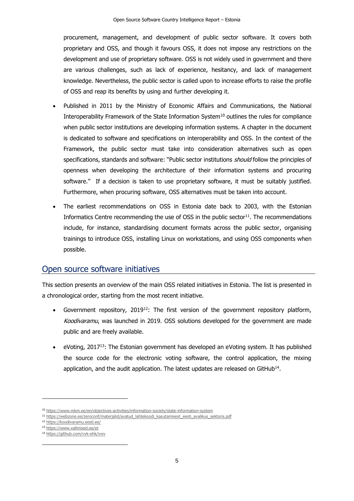procurement, management, and development of public sector software. It covers both proprietary and OSS, and though it favours OSS, it does not impose any restrictions on the development and use of proprietary software. OSS is not widely used in government and there are various challenges, such as lack of experience, hesitancy, and lack of management knowledge. Nevertheless, the public sector is called upon to increase efforts to raise the profile of OSS and reap its benefits by using and further developing it.

- Published in 2011 by the Ministry of Economic Affairs and Communications, the National Interoperability Framework of the State Information System<sup>10</sup> outlines the rules for compliance when public sector institutions are developing information systems. A chapter in the document is dedicated to software and specifications on interoperability and OSS. In the context of the Framework, the public sector must take into consideration alternatives such as open specifications, standards and software: "Public sector institutions should follow the principles of openness when developing the architecture of their information systems and procuring software." If a decision is taken to use proprietary software, it must be suitably justified. Furthermore, when procuring software, OSS alternatives must be taken into account.
- The earliest recommendations on OSS in Estonia date back to 2003, with the Estonian Informatics Centre recommending the use of OSS in the public sector $11$ . The recommendations include, for instance, standardising document formats across the public sector, organising trainings to introduce OSS, installing Linux on workstations, and using OSS components when possible.

## <span id="page-5-0"></span>Open source software initiatives

This section presents an overview of the main OSS related initiatives in Estonia. The list is presented in a chronological order, starting from the most recent initiative.

- Government repository,  $2019^{12}$ : The first version of the government repository platform, Koodivaramu, was launched in 2019. OSS solutions developed for the government are made public and are freely available.
- eVoting, 2017<sup>13</sup>: The Estonian government has developed an eVoting system. It has published the source code for the electronic voting software, the control application, the mixing application, and the audit application. The latest updates are released on GitHub $^{14}$ .

<sup>10</sup> <https://www.mkm.ee/en/objectives-activities/information-society/state-information-system>

<sup>11</sup> https://webzone.ee/zeroconf/materjalid/avatud lahtekoodi kasutamisest eesti avalikus sektoris.pdf

<sup>12</sup> <https://koodivaramu.eesti.ee/>

<sup>13</sup> <https://www.valimised.ee/et>

<sup>14</sup> <https://github.com/vvk-ehk/ivxv>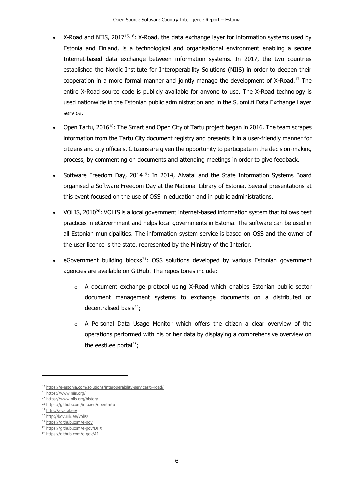- X-Road and NIIS, 2017<sup>15,16</sup>: X-Road, the data exchange layer for information systems used by Estonia and Finland, is a technological and organisational environment enabling a secure Internet-based data exchange between information systems. In 2017, the two countries established the Nordic Institute for Interoperability Solutions (NIIS) in order to deepen their cooperation in a more formal manner and jointly manage the development of X-Road.<sup>17</sup> The entire X-Road source code is publicly available for anyone to use. The X-Road technology is used nationwide in the Estonian public administration and in the Suomi.fi Data Exchange Layer service.
- Open Tartu, 2016<sup>18</sup>: The Smart and Open City of Tartu project began in 2016. The team scrapes information from the Tartu City document registry and presents it in a user-friendly manner for citizens and city officials. Citizens are given the opportunity to participate in the decision-making process, by commenting on documents and attending meetings in order to give feedback.
- Software Freedom Day, 2014<sup>19</sup>: In 2014, Alvatal and the State Information Systems Board organised a Software Freedom Day at the National Library of Estonia. Several presentations at this event focused on the use of OSS in education and in public administrations.
- VOLIS, 2010 $^{20}$ : VOLIS is a local government internet-based information system that follows best practices in eGovernment and helps local governments in Estonia. The software can be used in all Estonian municipalities. The information system service is based on OSS and the owner of the user licence is the state, represented by the Ministry of the Interior.
- $eGover$  ment building blocks<sup>21</sup>: OSS solutions developed by various Estonian government agencies are available on GitHub. The repositories include:
	- $\circ$  A document exchange protocol using X-Road which enables Estonian public sector document management systems to exchange documents on a distributed or decentralised basis<sup>22</sup>;
	- $\circ$  A Personal Data Usage Monitor which offers the citizen a clear overview of the operations performed with his or her data by displaying a comprehensive overview on the eesti.ee portal $^{23}$ ;

<sup>21</sup> <https://github.com/e-gov>

<sup>15</sup> <https://e-estonia.com/solutions/interoperability-services/x-road/>

<sup>16</sup> <https://www.niis.org/>

<sup>17</sup> <https://www.niis.org/history>

<sup>18</sup> <https://github.com/infoaed/opentartu>

<sup>19</sup> <http://alvatal.ee/>

<sup>20</sup> <http://kov.riik.ee/volis/>

<sup>22</sup> <https://github.com/e-gov/DHX>

<sup>23</sup> <https://github.com/e-gov/AJ>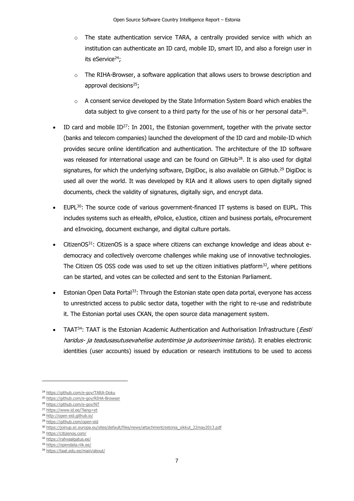- $\circ$  The state authentication service TARA, a centrally provided service with which an institution can authenticate an ID card, mobile ID, smart ID, and also a foreign user in its eService $24$ ;
- The RIHA-Browser, a software application that allows users to browse description and approval decisions<sup>25</sup>;
- o A consent service developed by the State Information System Board which enables the data subject to give consent to a third party for the use of his or her personal data<sup>26</sup>.
- ID card and mobile  $ID^{27}$ : In 2001, the Estonian government, together with the private sector (banks and telecom companies) launched the development of the ID card and mobile-ID which provides secure online identification and authentication. The architecture of the ID software was released for international usage and can be found on GitHub<sup>28</sup>. It is also used for digital signatures, for which the underlying software, DigiDoc, is also available on GitHub.<sup>29</sup> DigiDoc is used all over the world. It was developed by RIA and it allows users to open digitally signed documents, check the validity of signatures, digitally sign, and encrypt data.
- $EUPL^{30}$ : The source code of various government-financed IT systems is based on EUPL. This includes systems such as eHealth, ePolice, eJustice, citizen and business portals, eProcurement and eInvoicing, document exchange, and digital culture portals.
- CitizenOS<sup>31</sup>: CitizenOS is a space where citizens can exchange knowledge and ideas about edemocracy and collectively overcome challenges while making use of innovative technologies. The Citizen OS OSS code was used to set up the citizen initiatives platform $32$ , where petitions can be started, and votes can be collected and sent to the Estonian Parliament.
- Estonian Open Data Portal<sup>33</sup>: Through the Estonian state open data portal, everyone has access to unrestricted access to public sector data, together with the right to re-use and redistribute it. The Estonian portal uses CKAN, the open source data management system.
- TAAT<sup>34</sup>: TAAT is the Estonian Academic Authentication and Authorisation Infrastructure (*Eesti* haridus- ja teadusasutusevahelise autentimise ja autoriseerimise taristu). It enables electronic identities (user accounts) issued by education or research institutions to be used to access

<sup>24</sup> <https://github.com/e-gov/TARA-Doku>

<sup>25</sup> <https://github.com/e-gov/RIHA-Browser>

<sup>26</sup> <https://github.com/e-gov/NT>

<sup>27</sup> <https://www.id.ee/?lang=et>

<sup>28</sup> <http://open-eid.github.io/>

<sup>29</sup> <https://github.com/open-eid>

<sup>30</sup> [https://joinup.ec.europa.eu/sites/default/files/news/attachment/estonia\\_sikkut\\_22may2013.pdf](https://joinup.ec.europa.eu/sites/default/files/news/attachment/estonia_sikkut_22may2013.pdf)

<sup>31</sup> <https://citizenos.com/>

<sup>32</sup> <https://rahvaalgatus.ee/>

<sup>33</sup> <https://opendata.riik.ee/>

<sup>34</sup> <https://taat.edu.ee/main/about/>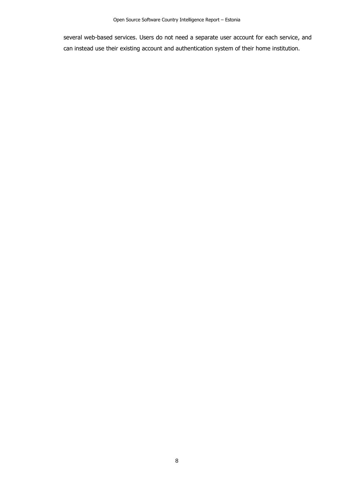several web-based services. Users do not need a separate user account for each service, and can instead use their existing account and authentication system of their home institution.